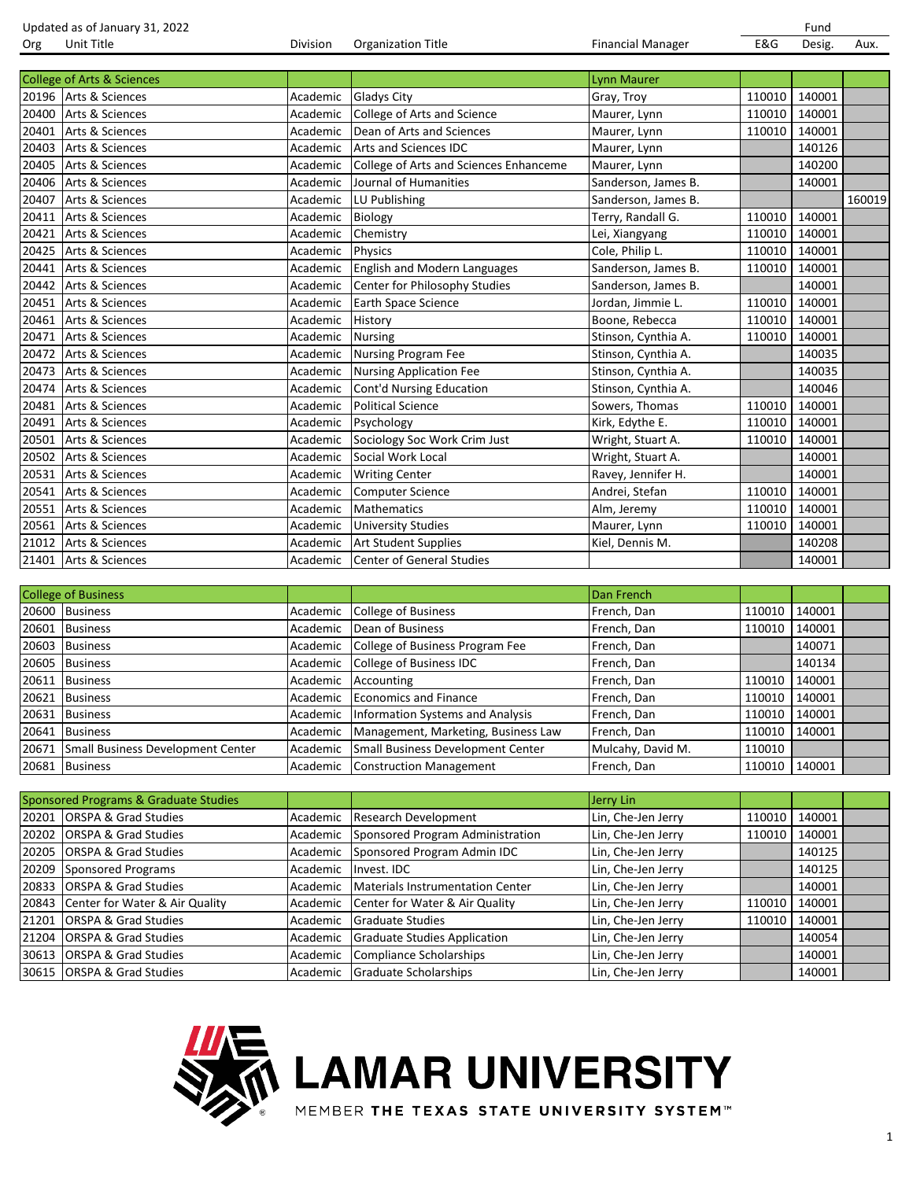Updated as of January 31, 2022<br>
Org Unit Title **FRAG** Designed Division Organization Title **Financial Manager** Text Text Designed Organization Title Org Unit Title Division Organization Title Financial Manager E&G Desig. Aux. College of Arts & Sciences Lynn Maurer 20196 Arts & Sciences Academic Gladys City Gray, Troy 110010 140001 20400 Arts & Sciences Academic College of Arts and Science Maurer, Lynn 110010 140001 20401 Arts & Sciences Academic Dean of Arts and Sciences Maurer, Lynn 110010 140001 20403 Arts & Sciences **Academic Arts and Sciences IDC** Maurer, Lynn 140126 20405 Arts & Sciences Academic College of Arts and Sciences Enhanceme Maurer, Lynn 140200 20406 Arts & Sciences **Academic Journal of Humanities** Sanderson, James B. 140001 20407 |Arts & Sciences |Academic |LU Publishing |Sanderson, James B. | | 160019 20411 Arts & Sciences Academic Biology Terry, Randall G. 110010 140001 20421 Arts & Sciences Academic Chemistry Lei, Xiangyang 110010 140001 20425 Arts & Sciences Academic Physics Cole, Philip L. 20425 Academic Physics Cole, Philip L. 2012 110010 140001 20441 Arts & Sciences Academic English and Modern Languages Sanderson, James B. 110010 140001 20442 Arts & Sciences **Academic Center for Philosophy Studies** Sanderson, James B. 140001 20451 Arts & Sciences Academic Earth Space Science Jordan, Jimmie L. 110010 140001 20461 Arts & Sciences Academic History Boone, Rebecca 110010 140001 20471 Arts & Sciences Academic Nursing Academic Stinson, Cynthia A. 110010 | 140001 20472 Arts & Sciences **1988 Academic Nursing Program Fee** Stinson, Cynthia A. 140035<br>20473 Arts & Sciences Academic Nursing Application Fee Stinson. Cynthia A. 140035 Arts & Sciences **Academic Nursing Application Fee** Stinson, Cynthia A. 140035 20474 Arts & Sciences **Academic Cont'd Nursing Education** Stinson, Cynthia A. 140046 20481 |Arts & Sciences | Academic | Political Science | Sowers, Thomas | 110010 | 140001 20491 Arts & Sciences Academic Psychology Kirk, Edythe E. 110010 140001 20501 Arts & Sciences Academic Sociology Soc Work Crim Just Wright, Stuart A. 110010 140001 20502 |Arts & Sciences |Academic |Social Work Local | Wright, Stuart A. | | 140001 20531 Arts & Sciences Academic | Writing Center | Ravey, Jennifer H. | 140001 20541 Arts & Sciences Academic Computer Science Andrei, Stefan 110010 140001 20551 Arts & Sciences Academic Mathematics Alm, Jeremy 110010 140001 20561 Arts & Sciences Academic University Studies Maurer, Lynn 110010 140001 21012 Arts & Sciences **Academic Art Student Supplies** Kiel, Dennis M. 140208 21401 Arts & Sciences Academic Center of General Studies 140001 140001

| <b>College of Business</b>              |          |                                             | Dan French        |        |        |  |
|-----------------------------------------|----------|---------------------------------------------|-------------------|--------|--------|--|
| 20600 Business                          | Academic | College of Business                         | French, Dan       | 110010 | 140001 |  |
| 20601 Business                          | Academic | Dean of Business                            | French, Dan       | 110010 | 140001 |  |
| 20603 Business                          | Academic | College of Business Program Fee             | French, Dan       |        | 140071 |  |
| 20605 Business                          |          | Academic College of Business IDC            | French, Dan       |        | 140134 |  |
| 20611 Business                          | Academic | Accounting                                  | French, Dan       | 110010 | 140001 |  |
| 20621 Business                          |          | Academic Economics and Finance              | French, Dan       | 110010 | 140001 |  |
| 20631 Business                          |          | Academic   Information Systems and Analysis | French, Dan       | 110010 | 140001 |  |
| 20641 Business                          | Academic | Management, Marketing, Business Law         | French, Dan       | 110010 | 140001 |  |
| 20671 Small Business Development Center |          | Academic Small Business Development Center  | Mulcahy, David M. | 110010 |        |  |
| 20681 Business                          |          | Academic Construction Management            | French, Dan       | 110010 | 140001 |  |

|       | Sponsored Programs & Graduate Studies |          |                                     | Jerry Lin          |        |        |  |
|-------|---------------------------------------|----------|-------------------------------------|--------------------|--------|--------|--|
| 20201 | <b>ORSPA &amp; Grad Studies</b>       | Academic | Research Development                | Lin, Che-Jen Jerry | 110010 | 140001 |  |
|       | 20202 ORSPA & Grad Studies            | Academic | Sponsored Program Administration    | Lin, Che-Jen Jerry | 110010 | 140001 |  |
| 20205 | <b>ORSPA &amp; Grad Studies</b>       | Academic | Sponsored Program Admin IDC         | Lin, Che-Jen Jerry |        | 140125 |  |
| 20209 | Sponsored Programs                    | Academic | Invest. IDC                         | Lin, Che-Jen Jerry |        | 140125 |  |
| 20833 | <b>ORSPA &amp; Grad Studies</b>       | Academic | Materials Instrumentation Center    | Lin, Che-Jen Jerry |        | 140001 |  |
| 20843 | Center for Water & Air Quality        | Academic | Center for Water & Air Quality      | Lin, Che-Jen Jerry | 110010 | 140001 |  |
| 21201 | <b>ORSPA &amp; Grad Studies</b>       | Academic | <b>Graduate Studies</b>             | Lin, Che-Jen Jerry | 110010 | 140001 |  |
| 21204 | <b>ORSPA &amp; Grad Studies</b>       | Academic | <b>Graduate Studies Application</b> | Lin, Che-Jen Jerry |        | 140054 |  |
| 30613 | <b>ORSPA &amp; Grad Studies</b>       | Academic | Compliance Scholarships             | Lin, Che-Jen Jerry |        | 140001 |  |
|       | 30615 ORSPA & Grad Studies            | Academic | Graduate Scholarships               | Lin, Che-Jen Jerry |        | 140001 |  |



## **LAMAR UNIVERSITY**

MEMBER THE TEXAS STATE UNIVERSITY SYSTEM™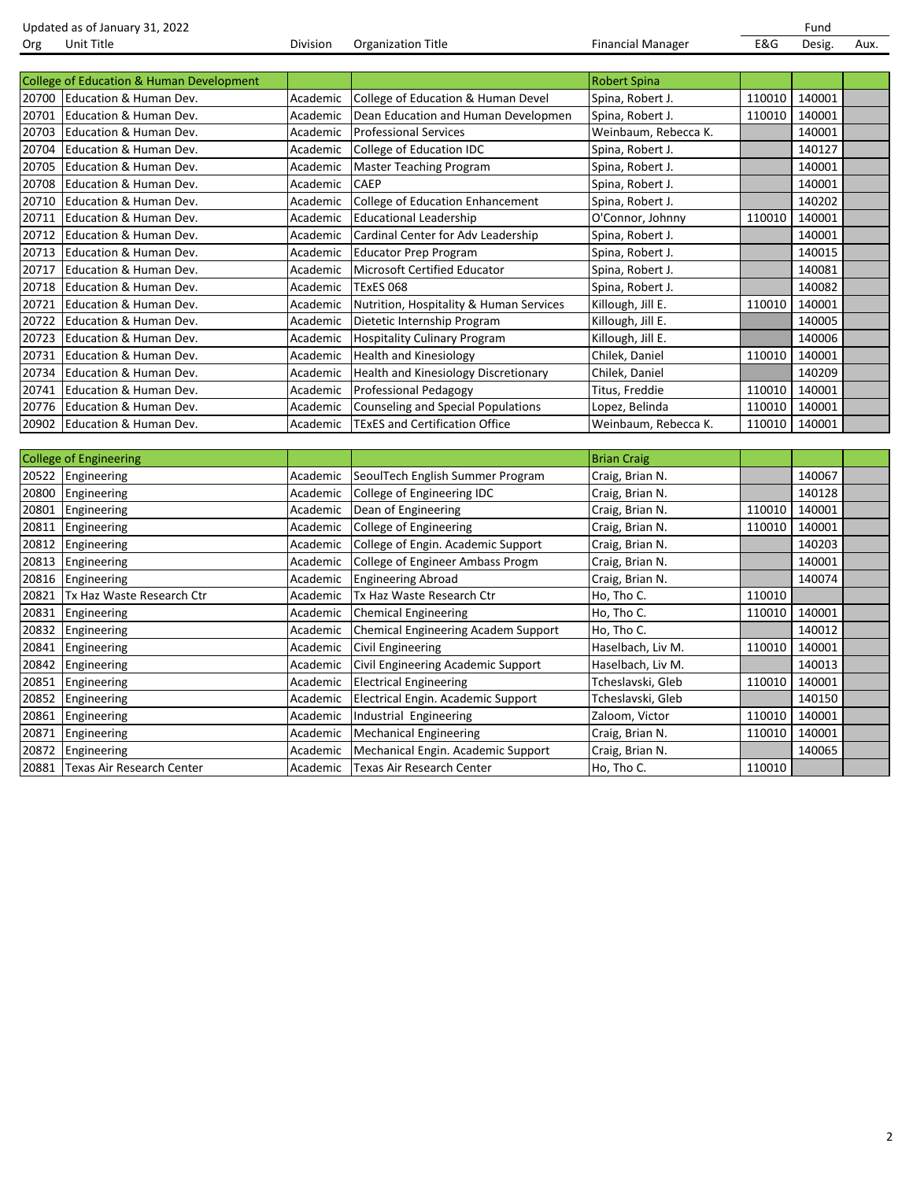Updated as of January 31, 2022<br>
Org Unit Title **Face Construent Construent Construent** Corganization Title **Fund**<br>
Org Unit Title **Face Construent Construent Construent** Corganization Title **Financial Manager Face Constr** 

Financial Manager **E&G** Desig. Aux.

|       | <b>College of Education &amp; Human Development</b> |          |                                             | <b>Robert Spina</b>  |        |        |  |
|-------|-----------------------------------------------------|----------|---------------------------------------------|----------------------|--------|--------|--|
|       | 20700 Education & Human Dev.                        | Academic | College of Education & Human Devel          | Spina, Robert J.     | 110010 | 140001 |  |
| 20701 | Education & Human Dev.                              | Academic | Dean Education and Human Developmen         | Spina, Robert J.     | 110010 | 140001 |  |
| 20703 | Education & Human Dev.                              | Academic | <b>Professional Services</b>                | Weinbaum, Rebecca K. |        | 140001 |  |
| 20704 | Education & Human Dev.                              | Academic | College of Education IDC                    | Spina, Robert J.     |        | 140127 |  |
| 20705 | Education & Human Dev.                              | Academic | Master Teaching Program                     | Spina, Robert J.     |        | 140001 |  |
| 20708 | Education & Human Dev.                              | Academic | <b>CAEP</b>                                 | Spina, Robert J.     |        | 140001 |  |
|       | 20710 Education & Human Dev.                        | Academic | College of Education Enhancement            | Spina, Robert J.     |        | 140202 |  |
|       | 20711 Education & Human Dev.                        | Academic | <b>Educational Leadership</b>               | O'Connor, Johnny     | 110010 | 140001 |  |
| 20712 | Education & Human Dev.                              | Academic | Cardinal Center for Adv Leadership          | Spina, Robert J.     |        | 140001 |  |
| 20713 | Education & Human Dev.                              | Academic | <b>Educator Prep Program</b>                | Spina, Robert J.     |        | 140015 |  |
| 20717 | Education & Human Dev.                              | Academic | <b>Microsoft Certified Educator</b>         | Spina, Robert J.     |        | 140081 |  |
| 20718 | Education & Human Dev.                              | Academic | <b>TExES 068</b>                            | Spina, Robert J.     |        | 140082 |  |
| 20721 | Education & Human Dev.                              | Academic | Nutrition, Hospitality & Human Services     | Killough, Jill E.    | 110010 | 140001 |  |
| 20722 | Education & Human Dev.                              | Academic | Dietetic Internship Program                 | Killough, Jill E.    |        | 140005 |  |
| 20723 | Education & Human Dev.                              | Academic | <b>Hospitality Culinary Program</b>         | Killough, Jill E.    |        | 140006 |  |
| 20731 | Education & Human Dev.                              | Academic | <b>Health and Kinesiology</b>               | Chilek, Daniel       | 110010 | 140001 |  |
| 20734 | Education & Human Dev.                              | Academic | <b>Health and Kinesiology Discretionary</b> | Chilek, Daniel       |        | 140209 |  |
| 20741 | Education & Human Dev.                              | Academic | Professional Pedagogy                       | Titus, Freddie       | 110010 | 140001 |  |
|       | 20776 Education & Human Dev.                        | Academic | <b>Counseling and Special Populations</b>   | Lopez, Belinda       | 110010 | 140001 |  |
|       | 20902 Education & Human Dev.                        | Academic | <b>TExES and Certification Office</b>       | Weinbaum, Rebecca K. | 110010 | 140001 |  |

|       | <b>College of Engineering</b> |          |                                     | <b>Brian Craig</b> |        |        |  |
|-------|-------------------------------|----------|-------------------------------------|--------------------|--------|--------|--|
| 20522 | Engineering                   | Academic | SeoulTech English Summer Program    | Craig, Brian N.    |        | 140067 |  |
| 20800 | Engineering                   | Academic | College of Engineering IDC          | Craig, Brian N.    |        | 140128 |  |
| 20801 | Engineering                   | Academic | Dean of Engineering                 | Craig, Brian N.    | 110010 | 140001 |  |
| 20811 | Engineering                   | Academic | College of Engineering              | Craig, Brian N.    | 110010 | 140001 |  |
| 20812 | Engineering                   | Academic | College of Engin. Academic Support  | Craig, Brian N.    |        | 140203 |  |
| 20813 | Engineering                   | Academic | College of Engineer Ambass Progm    | Craig, Brian N.    |        | 140001 |  |
| 20816 | Engineering                   | Academic | <b>Engineering Abroad</b>           | Craig, Brian N.    |        | 140074 |  |
| 20821 | Tx Haz Waste Research Ctr     | Academic | Tx Haz Waste Research Ctr           | Ho, Tho C.         | 110010 |        |  |
| 20831 | Engineering                   | Academic | <b>Chemical Engineering</b>         | Ho, Tho C.         | 110010 | 140001 |  |
| 20832 | Engineering                   | Academic | Chemical Engineering Academ Support | Ho, Tho C.         |        | 140012 |  |
| 20841 | Engineering                   | Academic | Civil Engineering                   | Haselbach, Liv M.  | 110010 | 140001 |  |
| 20842 | Engineering                   | Academic | Civil Engineering Academic Support  | Haselbach, Liv M.  |        | 140013 |  |
| 20851 | Engineering                   | Academic | <b>Electrical Engineering</b>       | Tcheslavski, Gleb  | 110010 | 140001 |  |
| 20852 | Engineering                   | Academic | Electrical Engin. Academic Support  | Tcheslavski, Gleb  |        | 140150 |  |
| 20861 | Engineering                   | Academic | Industrial Engineering              | Zaloom, Victor     | 110010 | 140001 |  |
| 20871 | Engineering                   | Academic | <b>Mechanical Engineering</b>       | Craig, Brian N.    | 110010 | 140001 |  |
| 20872 | Engineering                   | Academic | Mechanical Engin. Academic Support  | Craig, Brian N.    |        | 140065 |  |
| 20881 | Texas Air Research Center     | Academic | Texas Air Research Center           | Ho, Tho C.         | 110010 |        |  |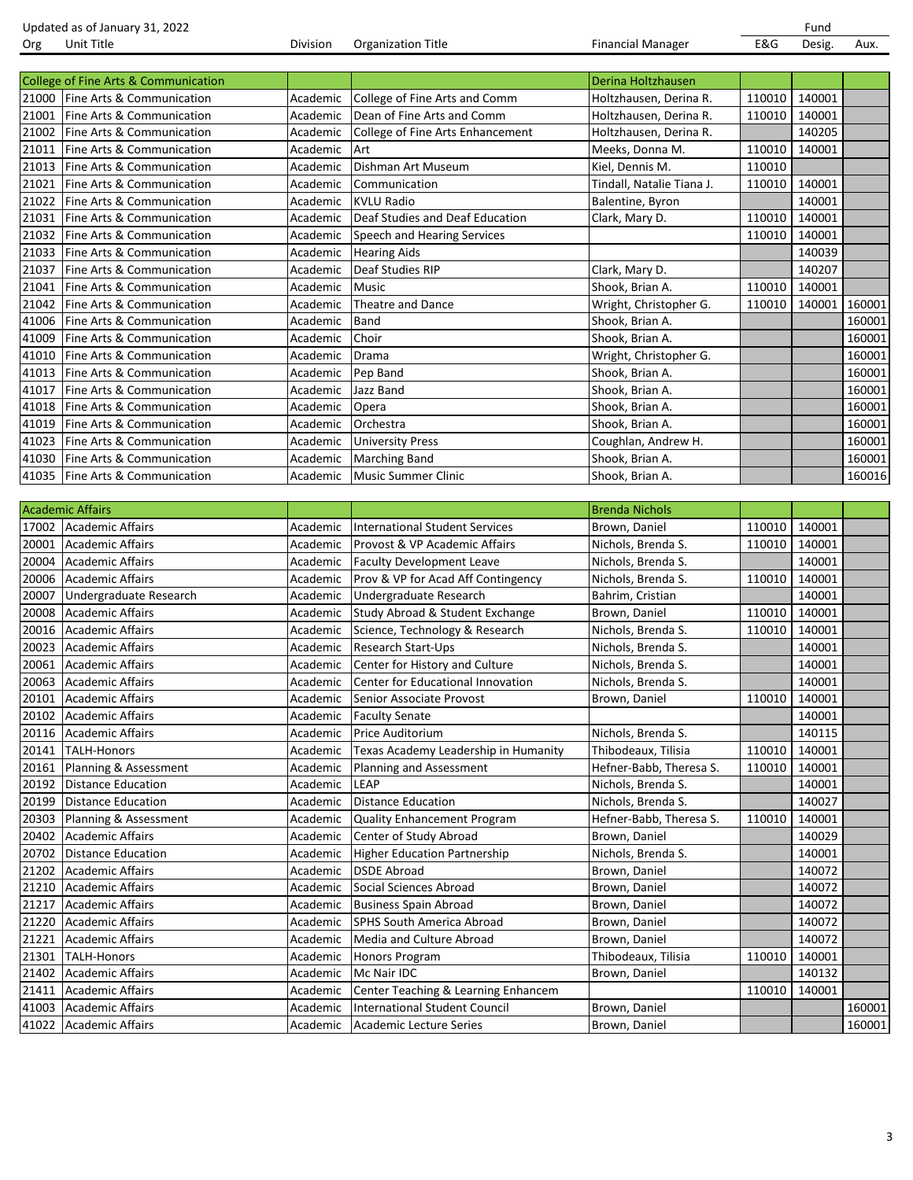|       | Updated as of January 31, 2022       |                 |                                  |                           |        | Fund   |        |
|-------|--------------------------------------|-----------------|----------------------------------|---------------------------|--------|--------|--------|
| Org   | Unit Title                           | <b>Division</b> | <b>Organization Title</b>        | <b>Financial Manager</b>  | E&G    | Desig. | Aux.   |
|       |                                      |                 |                                  |                           |        |        |        |
|       | College of Fine Arts & Communication |                 |                                  | Derina Holtzhausen        |        |        |        |
|       | 21000 Fine Arts & Communication      | Academic        | College of Fine Arts and Comm    | Holtzhausen, Derina R.    | 110010 | 140001 |        |
| 21001 | Fine Arts & Communication            | Academic        | Dean of Fine Arts and Comm       | Holtzhausen, Derina R.    | 110010 | 140001 |        |
| 21002 | Fine Arts & Communication            | Academic        | College of Fine Arts Enhancement | Holtzhausen, Derina R.    |        | 140205 |        |
| 21011 | Fine Arts & Communication            | Academic        | Art                              | Meeks, Donna M.           | 110010 | 140001 |        |
| 21013 | Fine Arts & Communication            | Academic        | Dishman Art Museum               | Kiel, Dennis M.           | 110010 |        |        |
| 21021 | Fine Arts & Communication            | Academic        | Communication                    | Tindall, Natalie Tiana J. | 110010 | 140001 |        |
| 21022 | Fine Arts & Communication            | Academic        | <b>KVLU Radio</b>                | Balentine, Byron          |        | 140001 |        |
| 21031 | Fine Arts & Communication            | Academic        | Deaf Studies and Deaf Education  | Clark, Mary D.            | 110010 | 140001 |        |
| 21032 | Fine Arts & Communication            | Academic        | Speech and Hearing Services      |                           | 110010 | 140001 |        |
| 21033 | Fine Arts & Communication            | Academic        | <b>Hearing Aids</b>              |                           |        | 140039 |        |
| 21037 | Fine Arts & Communication            | Academic        | Deaf Studies RIP                 | Clark, Mary D.            |        | 140207 |        |
| 21041 | Fine Arts & Communication            | Academic        | <b>Music</b>                     | Shook, Brian A.           | 110010 | 140001 |        |
| 21042 | Fine Arts & Communication            | Academic        | <b>Theatre and Dance</b>         | Wright, Christopher G.    | 110010 | 140001 | 160001 |
| 41006 | Fine Arts & Communication            | Academic        | <b>Band</b>                      | Shook, Brian A.           |        |        | 160001 |
| 41009 | Fine Arts & Communication            | Academic        | Choir                            | Shook, Brian A.           |        |        | 160001 |
| 41010 | Fine Arts & Communication            | Academic        | Drama                            | Wright, Christopher G.    |        |        | 160001 |
| 41013 | Fine Arts & Communication            | Academic        | Pep Band                         | Shook, Brian A.           |        |        | 160001 |
| 41017 | Fine Arts & Communication            | Academic        | Jazz Band                        | Shook, Brian A.           |        |        | 160001 |
| 41018 | Fine Arts & Communication            | Academic        | Opera                            | Shook, Brian A.           |        |        | 160001 |
| 41019 | Fine Arts & Communication            | Academic        | Orchestra                        | Shook, Brian A.           |        |        | 160001 |
| 41023 | Fine Arts & Communication            | Academic        | <b>University Press</b>          | Coughlan, Andrew H.       |        |        | 160001 |
| 41030 | Fine Arts & Communication            | Academic        | <b>Marching Band</b>             | Shook, Brian A.           |        |        | 160001 |
|       | 41035   Fine Arts & Communication    | Academic        | Music Summer Clinic              | Shook, Brian A.           |        |        | 160016 |

|       | <b>Academic Affairs</b>   |          |                                      | <b>Brenda Nichols</b>   |        |        |        |
|-------|---------------------------|----------|--------------------------------------|-------------------------|--------|--------|--------|
| 17002 | <b>Academic Affairs</b>   | Academic | International Student Services       | Brown, Daniel           | 110010 | 140001 |        |
| 20001 | Academic Affairs          | Academic | Provost & VP Academic Affairs        | Nichols, Brenda S.      | 110010 | 140001 |        |
| 20004 | Academic Affairs          | Academic | <b>Faculty Development Leave</b>     | Nichols, Brenda S.      |        | 140001 |        |
| 20006 | Academic Affairs          | Academic | Prov & VP for Acad Aff Contingency   | Nichols, Brenda S.      | 110010 | 140001 |        |
| 20007 | Undergraduate Research    | Academic | Undergraduate Research               | Bahrim, Cristian        |        | 140001 |        |
| 20008 | <b>Academic Affairs</b>   | Academic | Study Abroad & Student Exchange      | Brown, Daniel           | 110010 | 140001 |        |
| 20016 | Academic Affairs          | Academic | Science, Technology & Research       | Nichols, Brenda S.      | 110010 | 140001 |        |
| 20023 | Academic Affairs          | Academic | <b>Research Start-Ups</b>            | Nichols, Brenda S.      |        | 140001 |        |
| 20061 | Academic Affairs          | Academic | Center for History and Culture       | Nichols, Brenda S.      |        | 140001 |        |
| 20063 | Academic Affairs          | Academic | Center for Educational Innovation    | Nichols, Brenda S.      |        | 140001 |        |
| 20101 | <b>Academic Affairs</b>   | Academic | Senior Associate Provost             | Brown, Daniel           | 110010 | 140001 |        |
| 20102 | <b>Academic Affairs</b>   | Academic | <b>Faculty Senate</b>                |                         |        | 140001 |        |
| 20116 | Academic Affairs          | Academic | Price Auditorium                     | Nichols, Brenda S.      |        | 140115 |        |
| 20141 | <b>TALH-Honors</b>        | Academic | Texas Academy Leadership in Humanity | Thibodeaux, Tilisia     | 110010 | 140001 |        |
| 20161 | Planning & Assessment     | Academic | Planning and Assessment              | Hefner-Babb, Theresa S. | 110010 | 140001 |        |
| 20192 | <b>Distance Education</b> | Academic | LEAP                                 | Nichols, Brenda S.      |        | 140001 |        |
| 20199 | <b>Distance Education</b> | Academic | <b>Distance Education</b>            | Nichols, Brenda S.      |        | 140027 |        |
| 20303 | Planning & Assessment     | Academic | <b>Quality Enhancement Program</b>   | Hefner-Babb, Theresa S. | 110010 | 140001 |        |
| 20402 | <b>Academic Affairs</b>   | Academic | Center of Study Abroad               | Brown, Daniel           |        | 140029 |        |
| 20702 | Distance Education        | Academic | <b>Higher Education Partnership</b>  | Nichols, Brenda S.      |        | 140001 |        |
| 21202 | Academic Affairs          | Academic | <b>DSDE Abroad</b>                   | Brown, Daniel           |        | 140072 |        |
| 21210 | <b>Academic Affairs</b>   | Academic | Social Sciences Abroad               | Brown, Daniel           |        | 140072 |        |
| 21217 | <b>Academic Affairs</b>   | Academic | <b>Business Spain Abroad</b>         | Brown, Daniel           |        | 140072 |        |
| 21220 | Academic Affairs          | Academic | SPHS South America Abroad            | Brown, Daniel           |        | 140072 |        |
| 21221 | <b>Academic Affairs</b>   | Academic | Media and Culture Abroad             | Brown, Daniel           |        | 140072 |        |
| 21301 | <b>TALH-Honors</b>        | Academic | Honors Program                       | Thibodeaux, Tilisia     | 110010 | 140001 |        |
| 21402 | <b>Academic Affairs</b>   | Academic | Mc Nair IDC                          | Brown, Daniel           |        | 140132 |        |
| 21411 | Academic Affairs          | Academic | Center Teaching & Learning Enhancem  |                         | 110010 | 140001 |        |
| 41003 | <b>Academic Affairs</b>   | Academic | International Student Council        | Brown, Daniel           |        |        | 160001 |
|       | 41022 Academic Affairs    | Academic | Academic Lecture Series              | Brown, Daniel           |        |        | 160001 |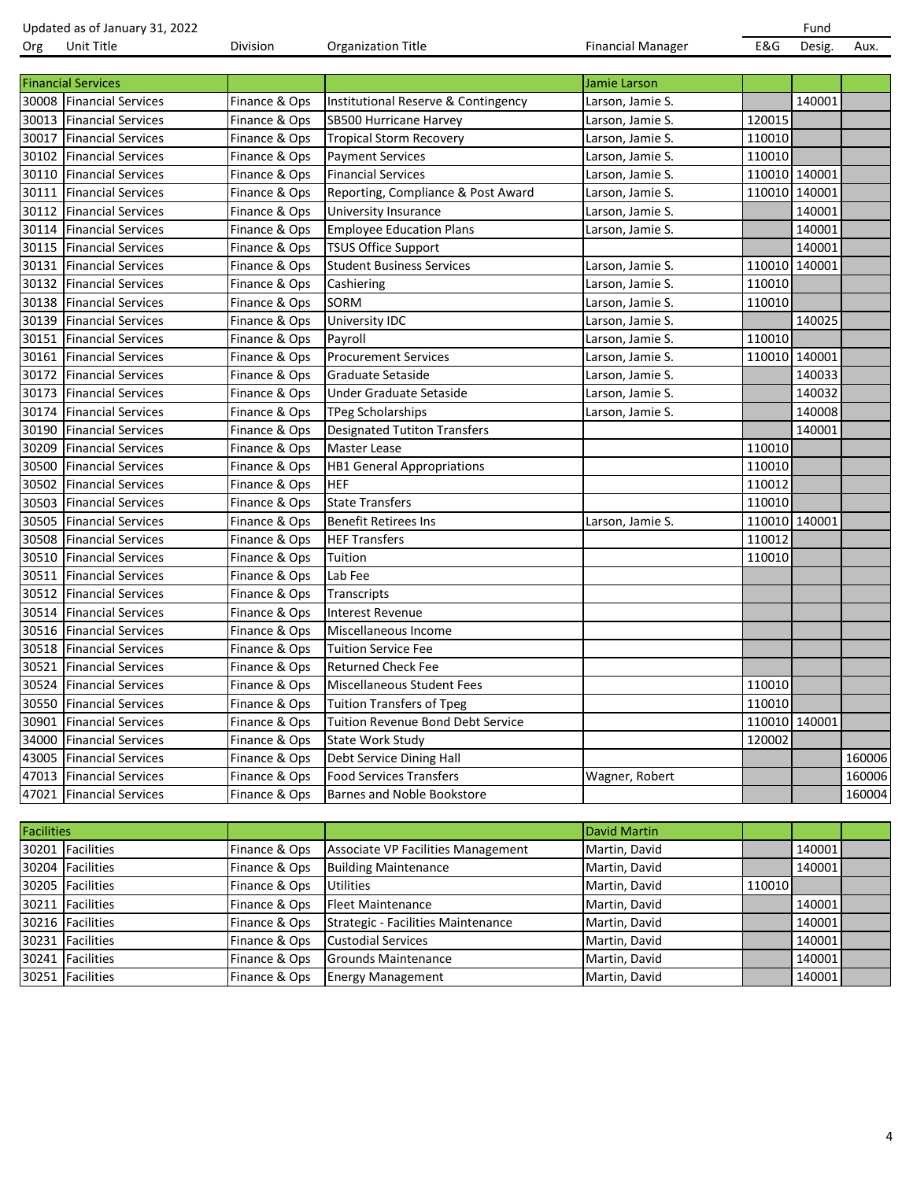|                   | Updated as of January 31, 2022 |               |                                     |                          |        | Fund          |        |
|-------------------|--------------------------------|---------------|-------------------------------------|--------------------------|--------|---------------|--------|
| Org               | Unit Title                     | Division      | Organization Title                  | <b>Financial Manager</b> | E&G    | Desig.        | Aux.   |
|                   |                                |               |                                     |                          |        |               |        |
|                   | <b>Financial Services</b>      |               |                                     | Jamie Larson             |        |               |        |
| 30008             | <b>Financial Services</b>      | Finance & Ops | Institutional Reserve & Contingency | Larson, Jamie S.         |        | 140001        |        |
| 30013             | <b>Financial Services</b>      | Finance & Ops | SB500 Hurricane Harvey              | Larson, Jamie S.         | 120015 |               |        |
| 30017             | <b>Financial Services</b>      | Finance & Ops | <b>Tropical Storm Recovery</b>      | Larson, Jamie S.         | 110010 |               |        |
| 30102             | <b>Financial Services</b>      | Finance & Ops | <b>Payment Services</b>             | Larson, Jamie S.         | 110010 |               |        |
| 30110             | <b>Financial Services</b>      | Finance & Ops | <b>Financial Services</b>           | Larson, Jamie S.         |        | 110010 140001 |        |
| 30111             | <b>Financial Services</b>      | Finance & Ops | Reporting, Compliance & Post Award  | Larson, Jamie S.         |        | 110010 140001 |        |
| 30112             | <b>Financial Services</b>      | Finance & Ops | University Insurance                | Larson, Jamie S.         |        | 140001        |        |
| 30114             | <b>Financial Services</b>      | Finance & Ops | <b>Employee Education Plans</b>     | Larson, Jamie S.         |        | 140001        |        |
| 30115             | <b>Financial Services</b>      | Finance & Ops | <b>TSUS Office Support</b>          |                          |        | 140001        |        |
| 30131             | <b>Financial Services</b>      | Finance & Ops | <b>Student Business Services</b>    | Larson, Jamie S.         |        | 110010 140001 |        |
| 30132             | <b>Financial Services</b>      | Finance & Ops | Cashiering                          | Larson, Jamie S.         | 110010 |               |        |
| 30138             | <b>Financial Services</b>      | Finance & Ops | <b>SORM</b>                         | Larson, Jamie S.         | 110010 |               |        |
| 30139             | <b>Financial Services</b>      | Finance & Ops | University IDC                      | Larson, Jamie S.         |        | 140025        |        |
| 30151             | <b>Financial Services</b>      | Finance & Ops | Pavroll                             | Larson, Jamie S.         | 110010 |               |        |
| 30161             | <b>Financial Services</b>      | Finance & Ops | <b>Procurement Services</b>         | Larson, Jamie S.         |        | 110010 140001 |        |
| 30172             | <b>Financial Services</b>      | Finance & Ops | Graduate Setaside                   | Larson, Jamie S.         |        | 140033        |        |
| 30173             | <b>Financial Services</b>      | Finance & Ops | Under Graduate Setaside             | Larson, Jamie S.         |        | 140032        |        |
| 30174             | <b>Financial Services</b>      | Finance & Ops | <b>TPeg Scholarships</b>            | Larson, Jamie S.         |        | 140008        |        |
| 30190             | <b>Financial Services</b>      | Finance & Ops | <b>Designated Tutiton Transfers</b> |                          |        | 140001        |        |
| 30209             | <b>Financial Services</b>      | Finance & Ops | <b>Master Lease</b>                 |                          | 110010 |               |        |
| 30500             | <b>Financial Services</b>      | Finance & Ops | <b>HB1 General Appropriations</b>   |                          | 110010 |               |        |
| 30502             | <b>Financial Services</b>      | Finance & Ops | <b>HEF</b>                          |                          | 110012 |               |        |
| 30503             | <b>Financial Services</b>      | Finance & Ops | <b>State Transfers</b>              |                          | 110010 |               |        |
| 30505             | <b>Financial Services</b>      | Finance & Ops | <b>Benefit Retirees Ins</b>         | Larson, Jamie S.         |        | 110010 140001 |        |
| 30508             | <b>Financial Services</b>      | Finance & Ops | <b>HEF Transfers</b>                |                          | 110012 |               |        |
| 30510             | <b>Financial Services</b>      | Finance & Ops | Tuition                             |                          | 110010 |               |        |
| 30511             | <b>Financial Services</b>      | Finance & Ops | Lab Fee                             |                          |        |               |        |
| 30512             | <b>Financial Services</b>      | Finance & Ops | Transcripts                         |                          |        |               |        |
| 30514             | <b>Financial Services</b>      | Finance & Ops | <b>Interest Revenue</b>             |                          |        |               |        |
| 30516             | <b>Financial Services</b>      | Finance & Ops | Miscellaneous Income                |                          |        |               |        |
| 30518             | <b>Financial Services</b>      | Finance & Ops | <b>Tuition Service Fee</b>          |                          |        |               |        |
| 30521             | <b>Financial Services</b>      | Finance & Ops | <b>Returned Check Fee</b>           |                          |        |               |        |
|                   | 30524 Financial Services       | Finance & Ops | <b>Miscellaneous Student Fees</b>   |                          | 110010 |               |        |
|                   | 30550 Financial Services       | Finance & Ops | <b>Tuition Transfers of Tpeg</b>    |                          | 110010 |               |        |
| 30901             | <b>Financial Services</b>      | Finance & Ops | Tuition Revenue Bond Debt Service   |                          |        | 110010 140001 |        |
| 34000             | <b>Financial Services</b>      | Finance & Ops | State Work Study                    |                          | 120002 |               |        |
| 43005             | <b>Financial Services</b>      | Finance & Ops | Debt Service Dining Hall            |                          |        |               | 160006 |
| 47013             | <b>Financial Services</b>      | Finance & Ops | <b>Food Services Transfers</b>      | Wagner, Robert           |        |               | 160006 |
| 47021             | <b>Financial Services</b>      | Finance & Ops | Barnes and Noble Bookstore          |                          |        |               | 160004 |
|                   |                                |               |                                     |                          |        |               |        |
| <b>Facilities</b> |                                |               |                                     | <b>David Martin</b>      |        |               |        |
|                   | 30201 Facilities               | Finance & Ops | Associate VP Facilities Management  | Martin, David            |        | 140001        |        |
| 30204             | Facilities                     | Finance & Ops | <b>Building Maintenance</b>         | Martin, David            |        | 140001        |        |
| 30205             | <b>Facilities</b>              | Finance & Ops | Utilities                           | Martin, David            | 110010 |               |        |
| 30211             | <b>Facilities</b>              | Finance & Ops | <b>Fleet Maintenance</b>            | Martin, David            |        | 140001        |        |
|                   | 30216 Facilities               | Finance & Ops | Strategic - Facilities Maintenance  | Martin, David            |        | 140001        |        |
|                   | 30231 Facilities               | Finance & Ops | <b>Custodial Services</b>           | Martin, David            |        | 140001        |        |
|                   | 30241 Facilities               | Finance & Ops | <b>Grounds Maintenance</b>          | Martin, David            |        | 140001        |        |

 Facilities Finance & Ops Grounds Maintenance Martin, David 140001 Finance & Ops Energy Management Martin, David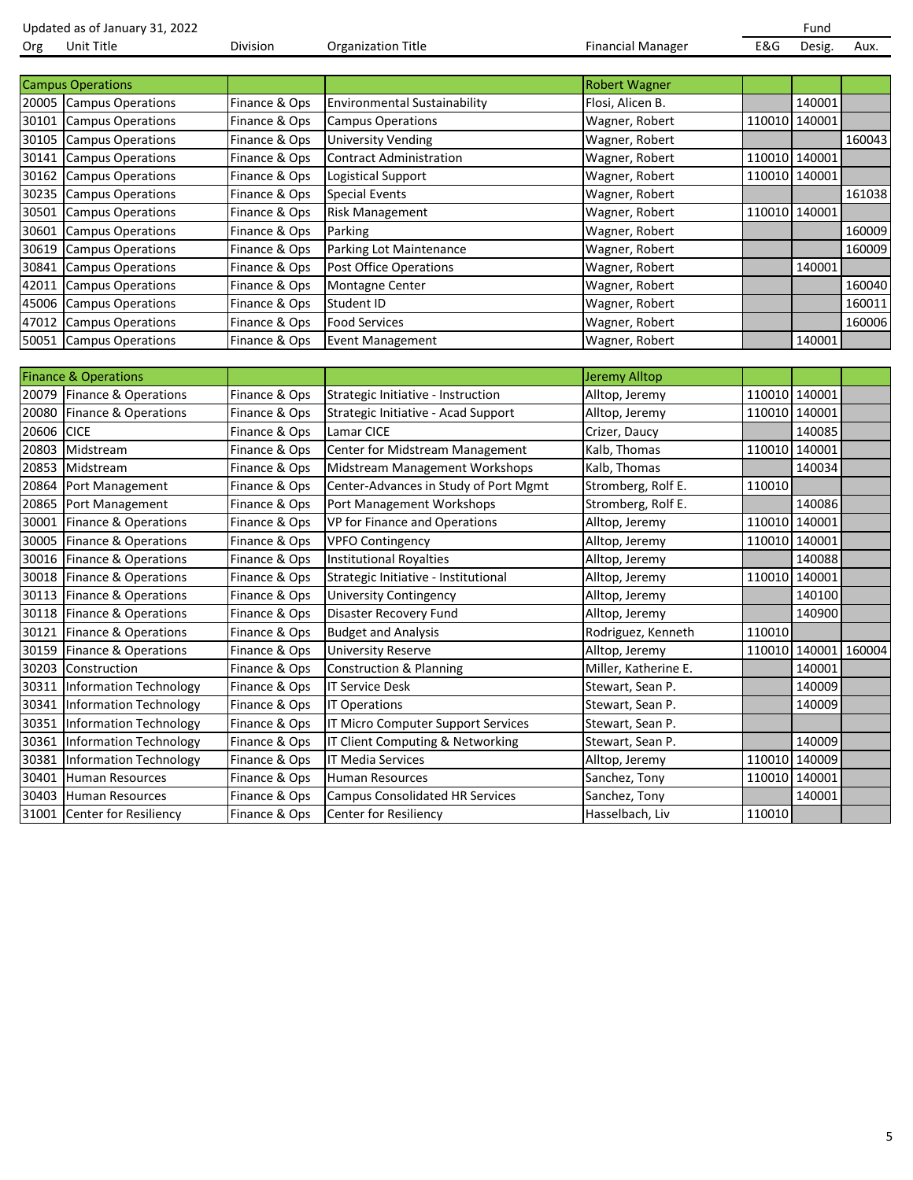|       | Updated as of January 31, 2022  |               |                                        |                          |               | Fund                 |        |
|-------|---------------------------------|---------------|----------------------------------------|--------------------------|---------------|----------------------|--------|
| Org   | Unit Title                      | Division      | <b>Organization Title</b>              | <b>Financial Manager</b> | E&G           | Desig.               | Aux.   |
|       |                                 |               |                                        |                          |               |                      |        |
|       | <b>Campus Operations</b>        |               |                                        | <b>Robert Wagner</b>     |               |                      |        |
| 20005 | <b>Campus Operations</b>        | Finance & Ops | <b>Environmental Sustainability</b>    | Flosi, Alicen B.         |               | 140001               |        |
| 30101 | <b>Campus Operations</b>        | Finance & Ops | <b>Campus Operations</b>               | Wagner, Robert           |               | 110010 140001        |        |
| 30105 | <b>Campus Operations</b>        | Finance & Ops | <b>University Vending</b>              | Wagner, Robert           |               |                      | 160043 |
| 30141 | <b>Campus Operations</b>        | Finance & Ops | <b>Contract Administration</b>         | Wagner, Robert           | 110010 140001 |                      |        |
| 30162 | <b>Campus Operations</b>        | Finance & Ops | Logistical Support                     | Wagner, Robert           | 110010 140001 |                      |        |
| 30235 | <b>Campus Operations</b>        | Finance & Ops | <b>Special Events</b>                  | Wagner, Robert           |               |                      | 161038 |
| 30501 | <b>Campus Operations</b>        | Finance & Ops | <b>Risk Management</b>                 | Wagner, Robert           | 110010 140001 |                      |        |
| 30601 | <b>Campus Operations</b>        | Finance & Ops | Parking                                | Wagner, Robert           |               |                      | 160009 |
| 30619 | <b>Campus Operations</b>        | Finance & Ops | Parking Lot Maintenance                | Wagner, Robert           |               |                      | 160009 |
| 30841 | <b>Campus Operations</b>        | Finance & Ops | Post Office Operations                 | Wagner, Robert           |               | 140001               |        |
| 42011 | <b>Campus Operations</b>        | Finance & Ops | Montagne Center                        | Wagner, Robert           |               |                      | 160040 |
| 45006 | <b>Campus Operations</b>        | Finance & Ops | Student ID                             | Wagner, Robert           |               |                      | 160011 |
| 47012 | <b>Campus Operations</b>        | Finance & Ops | <b>Food Services</b>                   | Wagner, Robert           |               |                      | 160006 |
| 50051 | <b>Campus Operations</b>        | Finance & Ops | <b>Event Management</b>                | Wagner, Robert           |               | 140001               |        |
|       |                                 |               |                                        |                          |               |                      |        |
|       | <b>Finance &amp; Operations</b> |               |                                        | <b>Jeremy Alltop</b>     |               |                      |        |
|       | 20079 Finance & Operations      | Finance & Ops | Strategic Initiative - Instruction     | Alltop, Jeremy           | 110010 140001 |                      |        |
| 20080 | Finance & Operations            | Finance & Ops | Strategic Initiative - Acad Support    | Alltop, Jeremy           | 110010 140001 |                      |        |
| 20606 | <b>CICE</b>                     | Finance & Ops | Lamar CICE                             | Crizer, Daucy            |               | 140085               |        |
| 20803 | Midstream                       | Finance & Ops | Center for Midstream Management        | Kalb, Thomas             | 110010 140001 |                      |        |
| 20853 | Midstream                       | Finance & Ops | Midstream Management Workshops         | Kalb, Thomas             |               | 140034               |        |
| 20864 | Port Management                 | Finance & Ops | Center-Advances in Study of Port Mgmt  | Stromberg, Rolf E.       | 110010        |                      |        |
| 20865 | Port Management                 | Finance & Ops | Port Management Workshops              | Stromberg, Rolf E.       |               | 140086               |        |
| 30001 | Finance & Operations            | Finance & Ops | VP for Finance and Operations          | Alltop, Jeremy           |               | 110010 140001        |        |
| 30005 | Finance & Operations            | Finance & Ops | <b>VPFO Contingency</b>                | Alltop, Jeremy           |               | 110010 140001        |        |
| 30016 | Finance & Operations            | Finance & Ops | <b>Institutional Royalties</b>         | Alltop, Jeremy           |               | 140088               |        |
| 30018 | Finance & Operations            | Finance & Ops | Strategic Initiative - Institutional   | Alltop, Jeremy           | 110010 140001 |                      |        |
| 30113 | Finance & Operations            | Finance & Ops | University Contingency                 | Alltop, Jeremy           |               | 140100               |        |
| 30118 | Finance & Operations            | Finance & Ops | Disaster Recovery Fund                 | Alltop, Jeremy           |               | 140900               |        |
| 30121 | Finance & Operations            | Finance & Ops | <b>Budget and Analysis</b>             | Rodriguez, Kenneth       | 110010        |                      |        |
| 30159 | Finance & Operations            | Finance & Ops | <b>University Reserve</b>              | Alltop, Jeremy           |               | 110010 140001 160004 |        |
|       | 30203 Construction              | Finance & Ops | <b>Construction &amp; Planning</b>     | Miller, Katherine E.     |               | 140001               |        |
|       | 30311 Information Technology    | Finance & Ops | <b>IT Service Desk</b>                 | Stewart, Sean P.         |               | 140009               |        |
|       | 30341 Information Technology    | Finance & Ops | <b>IT Operations</b>                   | Stewart, Sean P.         |               | 140009               |        |
| 30351 | <b>Information Technology</b>   | Finance & Ops | IT Micro Computer Support Services     | Stewart, Sean P.         |               |                      |        |
| 30361 | <b>Information Technology</b>   | Finance & Ops | IT Client Computing & Networking       | Stewart, Sean P.         |               | 140009               |        |
| 30381 | <b>Information Technology</b>   | Finance & Ops | IT Media Services                      | Alltop, Jeremy           |               | 110010 140009        |        |
| 30401 | <b>Human Resources</b>          | Finance & Ops | Human Resources                        | Sanchez, Tony            | 110010 140001 |                      |        |
| 30403 | <b>Human Resources</b>          | Finance & Ops | <b>Campus Consolidated HR Services</b> | Sanchez, Tony            |               | 140001               |        |
| 31001 | <b>Center for Resiliency</b>    | Finance & Ops | Center for Resiliency                  | Hasselbach, Liv          | 110010        |                      |        |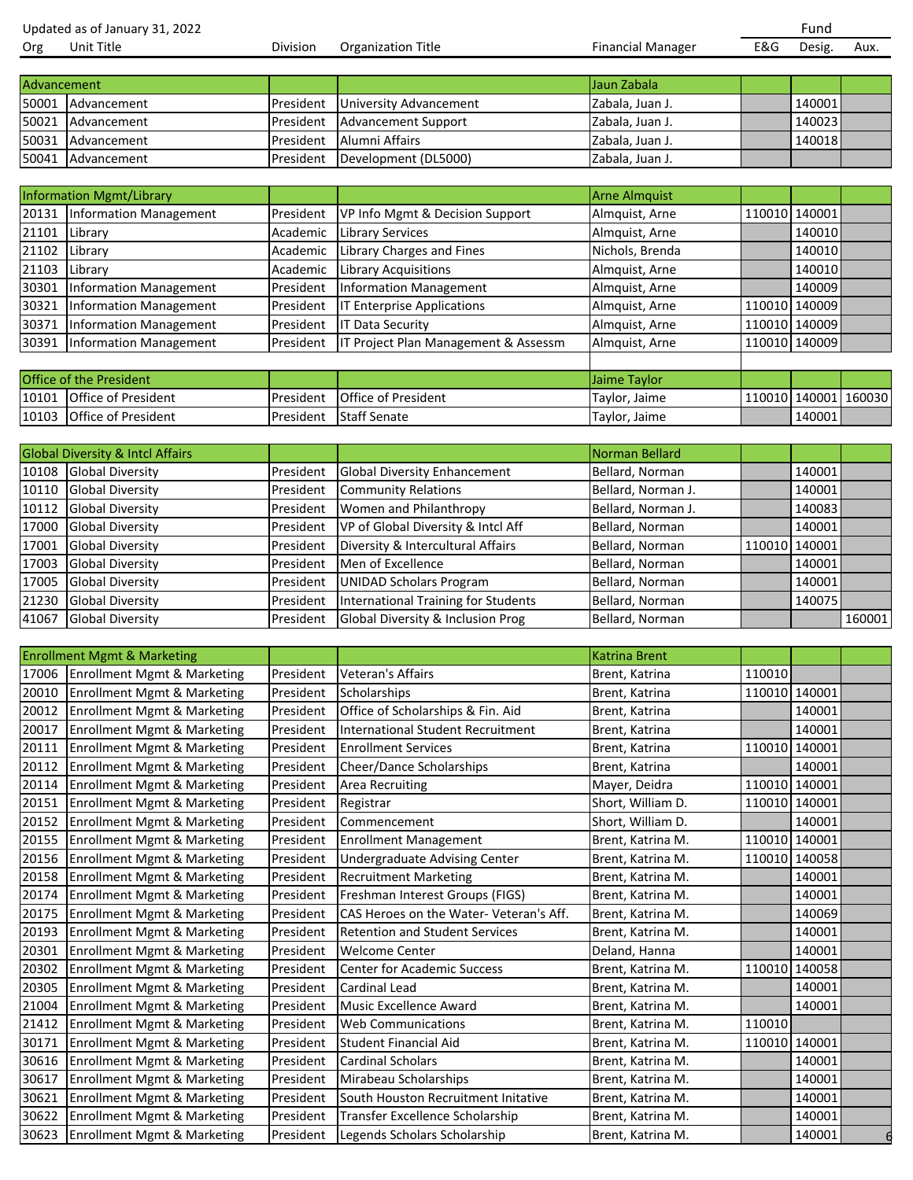Updated as of January 31, 2022<br>
Org Unit Title **Fund**<br>
Org Unit Title **Face Constant Division** Organization Title **Fund** Financial Manager **Face Constant Constant Constant** Org Unit Title **EXG** Division Organization Title **Financial Manager** E&G Desig. Aux.

| Advancement |                   |                                         | <b>Jaun Zabala</b> |         |  |
|-------------|-------------------|-----------------------------------------|--------------------|---------|--|
|             | 50001 Advancement | <b>President</b> University Advancement | Zabala, Juan J.    | 140001  |  |
|             | 50021 Advancement | <b>President Advancement Support</b>    | Zabala, Juan J.    | 1400231 |  |
|             | 50031 Advancement | <b>IPresident</b> Alumni Affairs        | Zabala, Juan J.    | 140018  |  |
|             | 50041 Advancement | President Development (DL5000)          | Zabala, Juan J.    |         |  |

|       | <b>Information Mgmt/Library</b> |           |                                      | <b>Arne Almquist</b> |               |  |
|-------|---------------------------------|-----------|--------------------------------------|----------------------|---------------|--|
|       | 20131 Information Management    | President | VP Info Mgmt & Decision Support      | Almquist, Arne       | 110010 140001 |  |
|       | 21101 Library                   | Academic  | <b>Library Services</b>              | Almquist, Arne       | 140010        |  |
|       | 21102 Library                   | Academic  | Library Charges and Fines            | Nichols, Brenda      | 140010        |  |
|       | 21103 Library                   | Academic  | Library Acquisitions                 | Almquist, Arne       | 140010        |  |
| 30301 | Information Management          | President | Information Management               | Almquist, Arne       | 140009        |  |
| 30321 | <b>Information Management</b>   | President | <b>Enterprise Applications</b>       | Almquist, Arne       | 110010 140009 |  |
|       | 30371 Information Management    | President | Data Security                        | Almquist, Arne       | 110010 140009 |  |
|       | 30391 Information Management    | President | IT Project Plan Management & Assessm | Almquist, Arne       | 110010 140009 |  |
|       |                                 |           |                                      |                      |               |  |
|       | <b>Office of the President</b>  |           |                                      | Jaime Taylor         |               |  |

| <b>Office of the President</b> |                            |           |                            | <b>Uaime Taylor</b> |                      |  |
|--------------------------------|----------------------------|-----------|----------------------------|---------------------|----------------------|--|
| 10101                          | . Office of President      | President | <b>Office of President</b> | Taylor, Jaime       | 110010 140001 160030 |  |
| 10103                          | <b>Office of President</b> | President | <b>Staff Senate</b>        | Taylor, Jaime       | 140001               |  |

|       | <b>Global Diversity &amp; Intcl Affairs</b> |           |                                     | Norman Bellard     |               |        |
|-------|---------------------------------------------|-----------|-------------------------------------|--------------------|---------------|--------|
|       | 10108 Global Diversity                      | President | <b>Global Diversity Enhancement</b> | Bellard, Norman    | 140001        |        |
| 10110 | <b>Global Diversity</b>                     | President | <b>Community Relations</b>          | Bellard, Norman J. | 140001        |        |
| 10112 | <b>Global Diversity</b>                     | President | Women and Philanthropy              | Bellard, Norman J. | 140083        |        |
| 17000 | <b>Global Diversity</b>                     | President | VP of Global Diversity & Intcl Aff  | Bellard, Norman    | 140001        |        |
| 17001 | <b>Global Diversity</b>                     | President | Diversity & Intercultural Affairs   | Bellard, Norman    | 110010 140001 |        |
| 17003 | <b>Global Diversity</b>                     | President | Men of Excellence                   | Bellard, Norman    | 140001        |        |
| 17005 | <b>Global Diversity</b>                     | President | <b>UNIDAD Scholars Program</b>      | Bellard, Norman    | 140001        |        |
| 21230 | <b>Global Diversity</b>                     | President | International Training for Students | Bellard, Norman    | 140075        |        |
| 41067 | <b>Global Diversity</b>                     | President | Global Diversity & Inclusion Prog   | Bellard, Norman    |               | 160001 |

|       | <b>Enrollment Mgmt &amp; Marketing</b> |           |                                         | <b>Katrina Brent</b> |               |               |  |
|-------|----------------------------------------|-----------|-----------------------------------------|----------------------|---------------|---------------|--|
| 17006 | <b>Enrollment Mgmt &amp; Marketing</b> | President | Veteran's Affairs                       | Brent, Katrina       | 110010        |               |  |
| 20010 | <b>Enrollment Mgmt &amp; Marketing</b> | President | Scholarships                            | Brent, Katrina       |               | 110010 140001 |  |
| 20012 | <b>Enrollment Mgmt &amp; Marketing</b> | President | Office of Scholarships & Fin. Aid       | Brent, Katrina       |               | 140001        |  |
| 20017 | Enrollment Mgmt & Marketing            | President | International Student Recruitment       | Brent, Katrina       |               | 140001        |  |
| 20111 | <b>Enrollment Mgmt &amp; Marketing</b> | President | <b>Enrollment Services</b>              | Brent, Katrina       | 110010 140001 |               |  |
| 20112 | <b>Enrollment Mgmt &amp; Marketing</b> | President | Cheer/Dance Scholarships                | Brent, Katrina       |               | 140001        |  |
| 20114 | <b>Enrollment Mgmt &amp; Marketing</b> | President | <b>Area Recruiting</b>                  | Mayer, Deidra        | 110010        | 140001        |  |
| 20151 | <b>Enrollment Mgmt &amp; Marketing</b> | President | Registrar                               | Short, William D.    | 110010 140001 |               |  |
| 20152 | <b>Enrollment Mgmt &amp; Marketing</b> | President | Commencement                            | Short, William D.    |               | 140001        |  |
| 20155 | <b>Enrollment Mgmt &amp; Marketing</b> | President | <b>Enrollment Management</b>            | Brent, Katrina M.    |               | 110010 140001 |  |
| 20156 | <b>Enrollment Mgmt &amp; Marketing</b> | President | Undergraduate Advising Center           | Brent, Katrina M.    |               | 110010 140058 |  |
| 20158 | <b>Enrollment Mgmt &amp; Marketing</b> | President | <b>Recruitment Marketing</b>            | Brent, Katrina M.    |               | 140001        |  |
| 20174 | <b>Enrollment Mgmt &amp; Marketing</b> | President | Freshman Interest Groups (FIGS)         | Brent, Katrina M.    |               | 140001        |  |
| 20175 | <b>Enrollment Mgmt &amp; Marketing</b> | President | CAS Heroes on the Water- Veteran's Aff. | Brent, Katrina M.    |               | 140069        |  |
| 20193 | <b>Enrollment Mgmt &amp; Marketing</b> | President | <b>Retention and Student Services</b>   | Brent, Katrina M.    |               | 140001        |  |
| 20301 | <b>Enrollment Mgmt &amp; Marketing</b> | President | <b>Welcome Center</b>                   | Deland, Hanna        |               | 140001        |  |
| 20302 | <b>Enrollment Mgmt &amp; Marketing</b> | President | Center for Academic Success             | Brent, Katrina M.    | 110010        | 140058        |  |
| 20305 | Enrollment Mgmt & Marketing            | President | <b>Cardinal Lead</b>                    | Brent, Katrina M.    |               | 140001        |  |
| 21004 | <b>Enrollment Mgmt &amp; Marketing</b> | President | Music Excellence Award                  | Brent, Katrina M.    |               | 140001        |  |
| 21412 | <b>Enrollment Mgmt &amp; Marketing</b> | President | <b>Web Communications</b>               | Brent, Katrina M.    | 110010        |               |  |
| 30171 | <b>Enrollment Mgmt &amp; Marketing</b> | President | Student Financial Aid                   | Brent, Katrina M.    | 110010        | 140001        |  |
| 30616 | <b>Enrollment Mgmt &amp; Marketing</b> | President | <b>Cardinal Scholars</b>                | Brent, Katrina M.    |               | 140001        |  |
| 30617 | <b>Enrollment Mgmt &amp; Marketing</b> | President | Mirabeau Scholarships                   | Brent, Katrina M.    |               | 140001        |  |
| 30621 | <b>Enrollment Mgmt &amp; Marketing</b> | President | South Houston Recruitment Initative     | Brent, Katrina M.    |               | 140001        |  |
| 30622 | <b>Enrollment Mgmt &amp; Marketing</b> | President | Transfer Excellence Scholarship         | Brent, Katrina M.    |               | 140001        |  |
|       | 30623 Enrollment Mgmt & Marketing      | President | Legends Scholars Scholarship            | Brent, Katrina M.    |               | 140001        |  |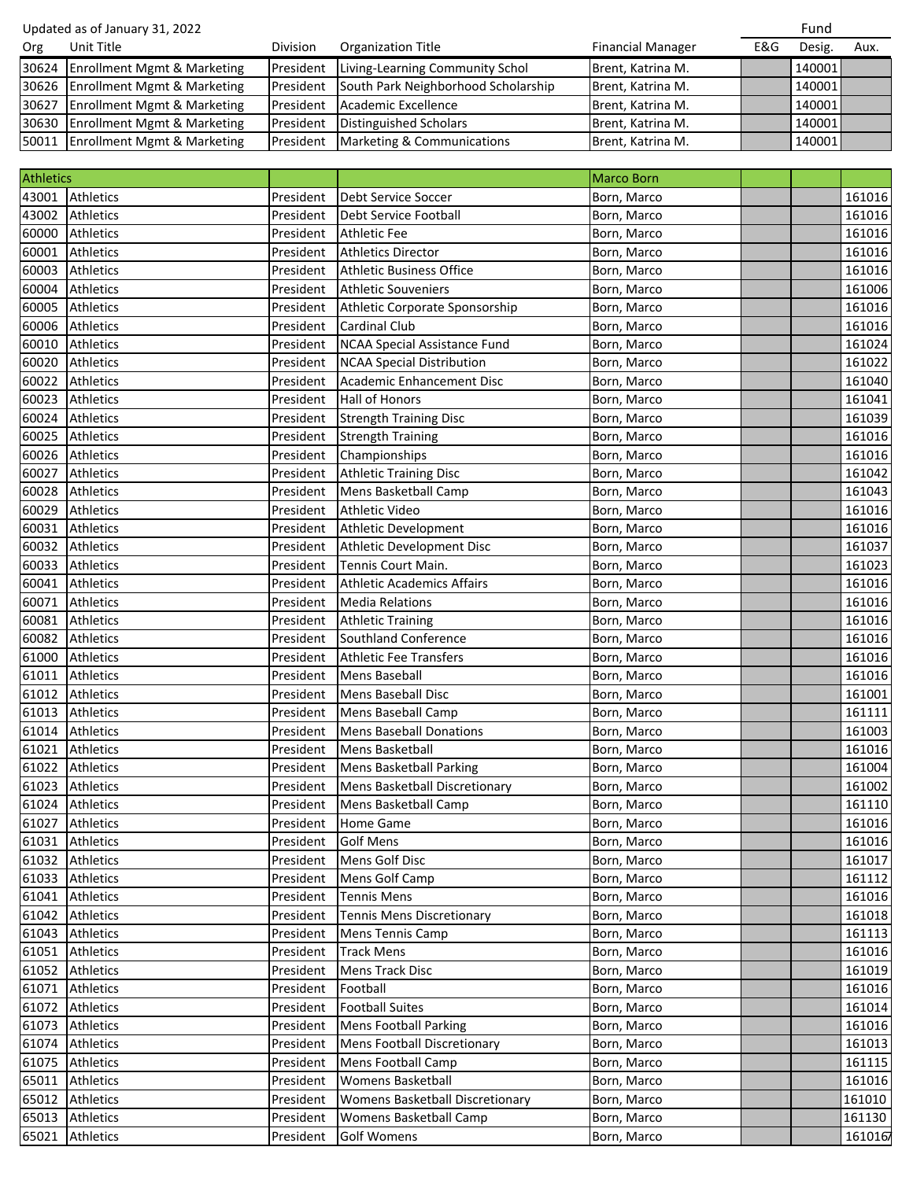| Updated as of January 31, 2022 |                                   |                 |                                     |                          | Fund |                 |      |
|--------------------------------|-----------------------------------|-----------------|-------------------------------------|--------------------------|------|-----------------|------|
| Org                            | Unit Title                        | <b>Division</b> | <b>Organization Title</b>           | <b>Financial Manager</b> | E&G  | Desig.          | Aux. |
|                                | 30624 Enrollment Mgmt & Marketing | President       | Living-Learning Community Schol     | Brent, Katrina M.        |      | 140001 <b>1</b> |      |
|                                | 30626 Enrollment Mgmt & Marketing | President       | South Park Neighborhood Scholarship | Brent, Katrina M.        |      | 140001          |      |
|                                | 30627 Enrollment Mgmt & Marketing | President       | Academic Excellence                 | Brent, Katrina M.        |      | 140001          |      |
|                                | 30630 Enrollment Mgmt & Marketing | President       | Distinguished Scholars              | Brent, Katrina M.        |      | 140001 <b>1</b> |      |
|                                | 50011 Enrollment Mgmt & Marketing | President       | Marketing & Communications          | Brent, Katrina M.        |      | 140001 <b>1</b> |      |

| <b>Athletics</b> |                  |           |                                     | <b>Marco Born</b> |         |
|------------------|------------------|-----------|-------------------------------------|-------------------|---------|
| 43001            | Athletics        | President | Debt Service Soccer                 | Born, Marco       | 161016  |
| 43002            | Athletics        | President | Debt Service Football               | Born, Marco       | 161016  |
| 60000            | Athletics        | President | <b>Athletic Fee</b>                 | Born, Marco       | 161016  |
| 60001            | <b>Athletics</b> | President | <b>Athletics Director</b>           | Born, Marco       | 161016  |
| 60003            | <b>Athletics</b> | President | <b>Athletic Business Office</b>     | Born, Marco       | 161016  |
| 60004            | <b>Athletics</b> | President | <b>Athletic Souveniers</b>          | Born, Marco       | 161006  |
| 60005            | <b>Athletics</b> | President | Athletic Corporate Sponsorship      | Born, Marco       | 161016  |
| 60006            | Athletics        | President | <b>Cardinal Club</b>                | Born, Marco       | 161016  |
| 60010            | Athletics        | President | <b>NCAA Special Assistance Fund</b> | Born, Marco       | 161024  |
| 60020            | <b>Athletics</b> | President | <b>NCAA Special Distribution</b>    | Born, Marco       | 161022  |
| 60022            | <b>Athletics</b> | President | Academic Enhancement Disc           | Born, Marco       | 161040  |
| 60023            | <b>Athletics</b> | President | <b>Hall of Honors</b>               | Born, Marco       | 161041  |
| 60024            | Athletics        | President | <b>Strength Training Disc</b>       | Born, Marco       | 161039  |
| 60025            | <b>Athletics</b> | President | <b>Strength Training</b>            | Born, Marco       | 161016  |
| 60026            | <b>Athletics</b> | President | Championships                       | Born, Marco       | 161016  |
| 60027            | <b>Athletics</b> | President | <b>Athletic Training Disc</b>       | Born, Marco       | 161042  |
| 60028            | Athletics        | President | Mens Basketball Camp                | Born, Marco       | 161043  |
| 60029            | <b>Athletics</b> | President | Athletic Video                      | Born, Marco       | 161016  |
| 60031            | <b>Athletics</b> | President | Athletic Development                | Born, Marco       | 161016  |
| 60032            | <b>Athletics</b> | President | Athletic Development Disc           | Born, Marco       | 161037  |
| 60033            | <b>Athletics</b> | President | Tennis Court Main.                  | Born, Marco       | 161023  |
| 60041            | <b>Athletics</b> | President | <b>Athletic Academics Affairs</b>   | Born, Marco       | 161016  |
| 60071            | <b>Athletics</b> | President | <b>Media Relations</b>              | Born, Marco       | 161016  |
| 60081            | <b>Athletics</b> | President | <b>Athletic Training</b>            | Born, Marco       | 161016  |
| 60082            | Athletics        | President | Southland Conference                | Born, Marco       | 161016  |
| 61000            | <b>Athletics</b> | President | <b>Athletic Fee Transfers</b>       | Born, Marco       | 161016  |
| 61011            | <b>Athletics</b> | President | <b>Mens Baseball</b>                | Born, Marco       | 161016  |
| 61012            | <b>Athletics</b> | President | <b>Mens Baseball Disc</b>           | Born, Marco       | 161001  |
| 61013            | Athletics        | President | Mens Baseball Camp                  | Born, Marco       | 161111  |
| 61014            | <b>Athletics</b> | President | <b>Mens Baseball Donations</b>      | Born, Marco       | 161003  |
| 61021            | <b>Athletics</b> | President | Mens Basketball                     | Born, Marco       | 161016  |
| 61022            | <b>Athletics</b> | President | <b>Mens Basketball Parking</b>      | Born, Marco       | 161004  |
| 61023            | <b>Athletics</b> | President | Mens Basketball Discretionary       | Born, Marco       | 161002  |
| 61024            | <b>Athletics</b> | President | Mens Basketball Camp                | Born, Marco       | 161110  |
|                  | 61027 Athletics  | President | <b>Home Game</b>                    | Born, Marco       | 161016  |
|                  | 61031 Athletics  | President | <b>Golf Mens</b>                    | Born, Marco       | 161016  |
|                  | 61032 Athletics  | President | Mens Golf Disc                      | Born, Marco       | 161017  |
|                  | 61033 Athletics  | President | Mens Golf Camp                      | Born, Marco       | 161112  |
| 61041            | <b>Athletics</b> | President | <b>Tennis Mens</b>                  | Born, Marco       | 161016  |
| 61042            | <b>Athletics</b> | President | Tennis Mens Discretionary           | Born, Marco       | 161018  |
| 61043            | <b>Athletics</b> | President | <b>Mens Tennis Camp</b>             | Born, Marco       | 161113  |
| 61051            | <b>Athletics</b> | President | <b>Track Mens</b>                   | Born, Marco       | 161016  |
| 61052            | <b>Athletics</b> | President | Mens Track Disc                     | Born, Marco       | 161019  |
| 61071            | Athletics        | President | Football                            | Born, Marco       | 161016  |
| 61072            | Athletics        | President | <b>Football Suites</b>              | Born, Marco       | 161014  |
| 61073            | <b>Athletics</b> | President | <b>Mens Football Parking</b>        | Born, Marco       | 161016  |
| 61074            | <b>Athletics</b> | President | <b>Mens Football Discretionary</b>  | Born, Marco       | 161013  |
| 61075            | <b>Athletics</b> | President | Mens Football Camp                  | Born, Marco       | 161115  |
| 65011            | <b>Athletics</b> | President | <b>Womens Basketball</b>            | Born, Marco       | 161016  |
| 65012            | Athletics        | President | Womens Basketball Discretionary     | Born, Marco       | 161010  |
| 65013            | <b>Athletics</b> | President | Womens Basketball Camp              | Born, Marco       | 161130  |
| 65021            | Athletics        | President | <b>Golf Womens</b>                  | Born, Marco       | 1610167 |
|                  |                  |           |                                     |                   |         |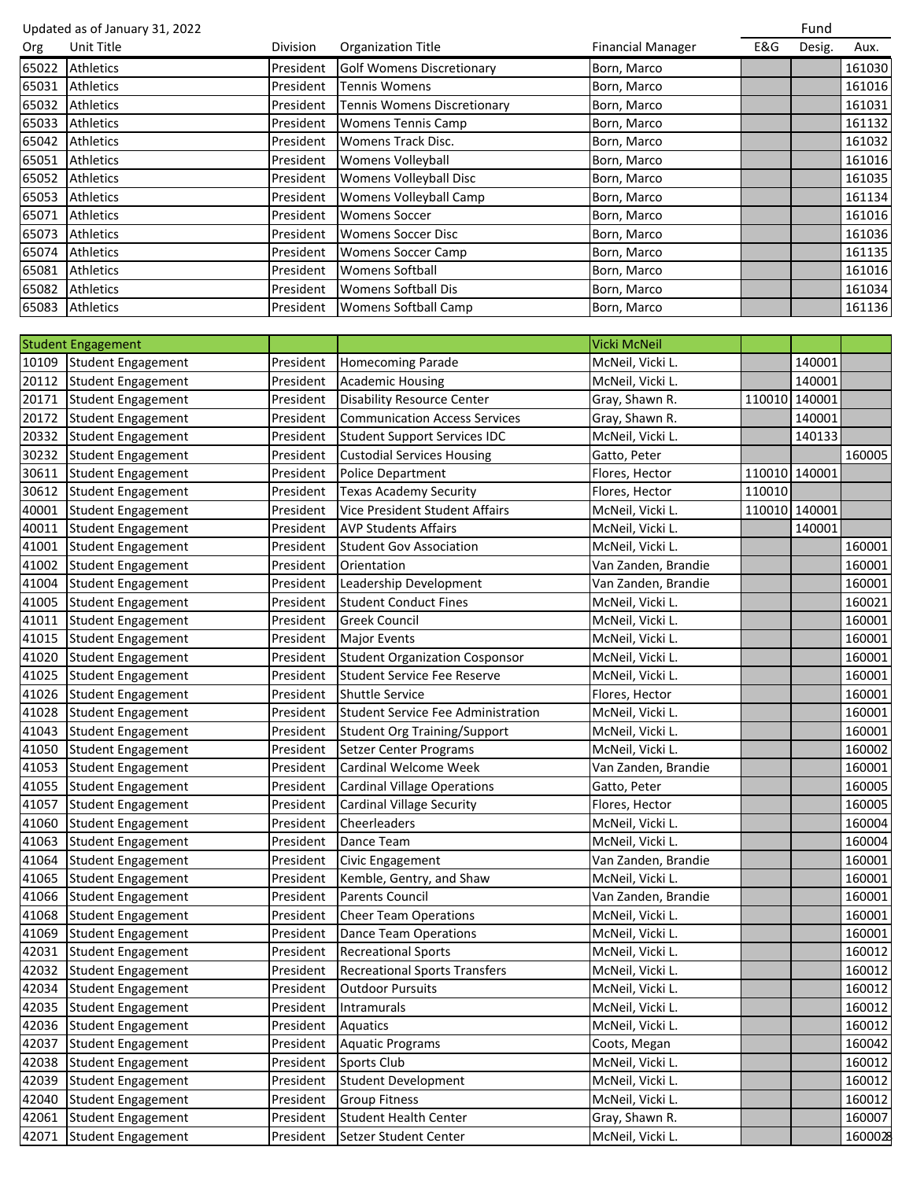Updated as of January 31, 2022 **Fund as a set of Australian Control** Control of Terms and Terms and Terms and Terms and Terms and Terms and Terms and Terms and Terms and Terms and Terms and Terms and Terms and Terms and Te Org Unit Title Division Organization Title Financial Manager E&G Desig. Aux. 65022 Athletics **President Golf Womens Discretionary** Born, Marco 161030 65031 Athletics President Tennis Womens Born, Marco 161016 65032 Athletics **President Tennis Womens Discretionary Born**, Marco 161031 161031 65033 Athletics **President Womens Tennis Camp** Born, Marco **161132** Born, Marco 161132 65042 Athletics **President Womens Track Disc.** Born, Marco **161032** Born, Marco 161032 65051 Athletics President Womens Volleyball Born, Marco 161016 65052 Athletics **President Womens Volleyball Disc** Born, Marco 161035 65053 Athletics **President Womens Volleyball Camp** Born, Marco 161134 65071 Athletics **President Womens Soccer** Born, Marco **161016** Born, Marco 161016 65073 Athletics **President Womens Soccer Disc Born, Marco 161036** and 161036 65074 Athletics President Womens Soccer Camp Born, Marco 161135 65081 Athletics **President Womens Softball** Born, Marco **161016** Born, Marco 161016 65082 Athletics **President Womens Softball Dis** Born, Marco 161034 65083 Athletics **President Womens Softball Camp** Born, Marco **1612** Born, Marco 161136 Student Engagement Vicki McNeil 10109 Student Engagement President | Homecoming Parade McNeil, Vicki L. 140001 20112 Student Engagement President Academic Housing McNeil, Vicki L. 140001 20171 Student Engagement President Disability Resource Center Gray, Shawn R. 110010 140001 20172 Student Engagement President Communication Access Services Gray, Shawn R. 140001 20332 Student Engagement President Student Support Services IDC McNeil, Vicki L. 140133 30232 Student Engagement President Custodial Services Housing Gatto, Peter 160005 30611 Student Engagement President | Police Department | Flores, Hector | 110010 | 140001 30612 Student Engagement President | Texas Academy Security | Flores, Hector | 110010 40001 Student Engagement President Vice President Student Affairs McNeil, Vicki L. 110010 140001 40011 Student Engagement President AVP Students Affairs McNeil, Vicki L. 140001 41001 Student Engagement President Student Gov Association McNeil, Vicki L. 160001 41002 Student Engagement President Orientation Van Zanden, Brandie 160001 41004 Student Engagement President Leadership Development Van Zanden, Brandie 160001 41005 Student Engagement President Student Conduct Fines McNeil, Vicki L. 160021 41011 Student Engagement President Greek Council McNeil, Vicki L. 160001 41015 Student Engagement President | Major Events May McNeil, Vicki L. 160001 41020 Student Engagement President Student Organization Cosponsor McNeil, Vicki L. 160001 41025 Student Engagement President Student Service Fee Reserve McNeil, Vicki L. 160001 41026 Student Engagement President Shuttle Service Flores, Hector Flores, Hector 160001 41028 Student Engagement President Student Service Fee Administration McNeil, Vicki L. 160001 41043 Student Engagement President Student Org Training/Support McNeil, Vicki L. 160001 41050 Student Engagement President Setzer Center Programs McNeil, Vicki L. 160002 41053 Student Engagement President Cardinal Welcome Week Van Zanden, Brandie 160001 41055 Student Engagement President Cardinal Village Operations (Gatto, Peter 160005) [160005] 4160005 41057 Student Engagement President Cardinal Village Security Flores, Hector 160005 41060 Student Engagement President Cheerleaders McNeil, Vicki L. 160004 41063 Student Engagement President Dance Team McNeil, Vicki L. Number 160004 41064 Student Engagement President Civic Engagement Van Zanden, Brandie 160001 41065 Student Engagement President Kemble, Gentry, and Shaw McNeil, Vicki L. 160001 41066 Student Engagement President Parents Council Van Zanden, Brandie 160001 41068 Student Engagement President Cheer Team Operations McNeil, Vicki L. 160001 41069 Student Engagement President Dance Team Operations McNeil, Vicki L. 160001 42031 Student Engagement President Recreational Sports McNeil, Vicki L. 160012 42032 Student Engagement President Recreational Sports Transfers McNeil, Vicki L. 160012 42034 Student Engagement President | Outdoor Pursuits | McNeil, Vicki L. 160012 42035 Student Engagement President |Intramurals McNeil, Vicki L. 160012 42036 Student Engagement President Aquatics McNeil, Vicki L. 160012 42037 Student Engagement President Aquatic Programs Coots, Megan Network 160042 42038 Student Engagement President Sports Club McNeil, Vicki L. Number 160012 42039 Student Engagement President Student Development McNeil, Vicki L. 160012 42040 Student Engagement President Group Fitness McNeil, Vicki L. 160012 42061 Student Engagement President Student Health Center Gray, Shawn R. 160007 42071 Student Engagement President Setzer Student Center McNeil, Vicki L. 160002